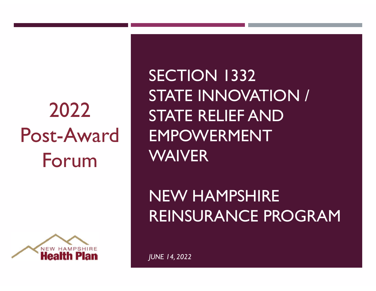### 2022 Post-Award Forum



SECTION 1332<br>SECTION 1332<br>STATE INNOVATION / STATE INNOVATION / STATE RELIEF AND EMPOWERMENT WAIVER

NEW HAMPSHIRE REINSURANCE PROGRAM

JUNE 14, 2022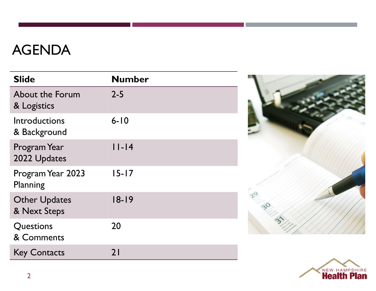### AGENDA

| <b>AGENDA</b>                         |               |  |
|---------------------------------------|---------------|--|
| <b>Slide</b>                          | <b>Number</b> |  |
| <b>About the Forum</b><br>& Logistics | $2 - 5$       |  |
| Introductions<br>& Background         | $6 - 10$      |  |
| Program Year<br>2022 Updates          | $ I-I4$       |  |
| Program Year 2023<br>Planning         | $15 - 17$     |  |
| <b>Other Updates</b><br>& Next Steps  | $18 - 19$     |  |
| Questions<br>& Comments               | 20            |  |
| <b>Key Contacts</b>                   | 21            |  |



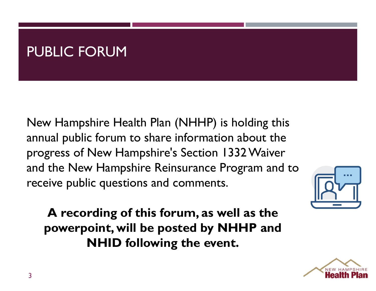### PUBLIC FORUM

New Hampshire Health Plan (NHHP) is holding this PUBLIC FORUM<br>New Hampshire Health Plan (NHHP) is holding this<br>annual public forum to share information about the<br>progress of New Hampshire's Section 1332 Waiver<br>and the New Hampshire Reinsurance Program and to PUBLIC FORUM<br>New Hampshire Health Plan (NHHP) is holding this<br>annual public forum to share information about the<br>progress of New Hampshire's Section 1332 Waiver<br>and the New Hampshire Reinsurance Program and to<br>receive publ PUBLIC FORUM<br>New Hampshire Health Plan (NHHP) is holding this<br>annual public forum to share information about the<br>progress of New Hampshire's Section 1332 Waiver<br>and the New Hampshire Reinsurance Program and to<br>receive publ receive public questions and comments.

A recording of this forum, as well as the powerpoint, will be posted by NHHP and NHID following the event.



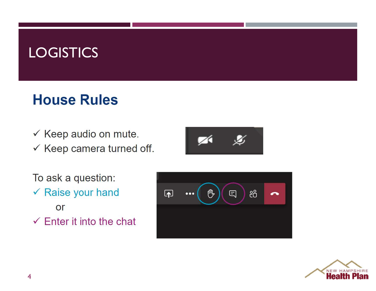### **LOGISTICS**

### **House Rules**

- ✓ Keep audio on mute.
- $\checkmark$  Keep camera turned off.



To ask a question: ✔ Raise your hand or  $\checkmark$  Enter it into the chat



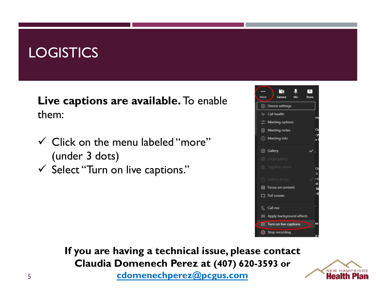### **LOGISTICS**

Live captions are available. To enable them:

- $\checkmark$  Click on the menu labeled "more" (under 3 dots)
- $\checkmark$  Select "Turn on live captions."



5 If you are having a technical issue, please contact **cdomenechperez@pcgus.com** 

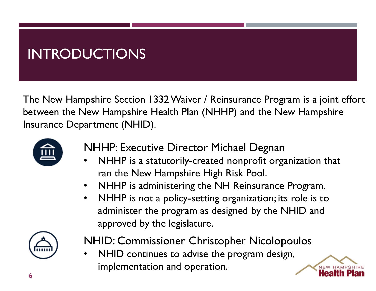### INTRODUCTIONS

The New Hampshire Section 1332 Waiver / Reinsurance Program is a joint effort between the New Hampshire Health Plan (NHHP) and the New Hampshire Insurance Department (NHID).



- NHHP: Executive Director Michael Degnan
- NHHP is a statutorily-created nonprofit organization that ran the New Hampshire High Risk Pool.
- NHHP is administering the NH Reinsurance Program.
- NHHP is not a policy-setting organization; its role is to administer the program as designed by the NHID and approved by the legislature.



- NHID: Commissioner Christopher Nicolopoulos
- NHID continues to advise the program design, implementation and operation.

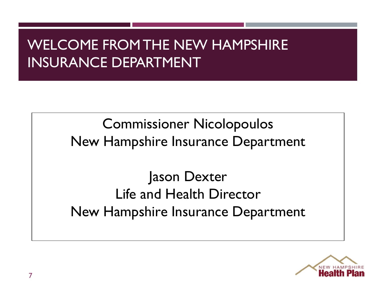### WELCOME FROM THE NEW HAMPSHIRE INSURANCE DEPARTMENT

Commissioner Nicolopoulos New Hampshire Insurance Department

Jason Dexter Life and Health Director New Hampshire Insurance Department

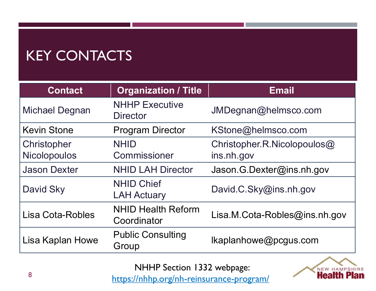### KEY CONTACTS

| <b>KEY CONTACTS</b>                |                                          |                                              |  |
|------------------------------------|------------------------------------------|----------------------------------------------|--|
| <b>Contact</b>                     | <b>Organization / Title</b>              | <b>Email</b>                                 |  |
| <b>Michael Degnan</b>              | <b>NHHP Executive</b><br><b>Director</b> | JMDegnan@helmsco.com                         |  |
| <b>Kevin Stone</b>                 | <b>Program Director</b>                  | KStone@helmsco.com                           |  |
| Christopher<br><b>Nicolopoulos</b> | <b>NHID</b><br>Commissioner              | Christopher.R.Nicolopoulos $@$<br>ins.nh.gov |  |
| <b>Jason Dexter</b>                | <b>NHID LAH Director</b>                 | Jason.G.Dexter@ins.nh.gov                    |  |
| David Sky                          | <b>NHID Chief</b><br><b>LAH Actuary</b>  | David.C.Sky@ins.nh.gov                       |  |
| Lisa Cota-Robles                   | <b>NHID Health Reform</b><br>Coordinator | Lisa.M.Cota-Robles@ins.nh.gov                |  |
| Lisa Kaplan Howe                   | <b>Public Consulting</b><br>Group        | Ikaplanhowe@pcgus.com                        |  |

NHHP Section 1332 webpage:



8 https://nhhp.org/nh-reinsurance-program/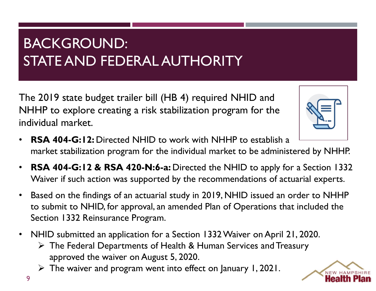### BACKGROUND: STATE AND FEDERAL AUTHORITY

The 2019 state budget trailer bill (HB 4) required NHID and NHHP to explore creating a risk stabilization program for the individual market.



- RSA 404-G:12: Directed NHID to work with NHHP to establish a market stabilization program for the individual market to be administered by NHHP.
- **RSA 404-G:12 & RSA 420-N:6-a:** Directed the NHID to apply for a Section 1332 Waiver if such action was supported by the recommendations of actuarial experts.
- Based on the findings of an actuarial study in 2019, NHID issued an order to NHHP to submit to NHID, for approval, an amended Plan of Operations that included the Section 1332 Reinsurance Program. **404-G:12:** Directed NHID to work with NHHP t<br>et stabilization program for the individual market to<br>**404-G:12 & RSA 420-N:6-a:** Directed the NHII<br>er if such action was supported by the recommenc<br>d on the findings of an ac
- NHID submitted an application for a Section 1332 Waiver on April 21, 2020.
	- $\triangleright$  The Federal Departments of Health & Human Services and Treasury
	- $\triangleright$  The waiver and program went into effect on January 1, 2021.

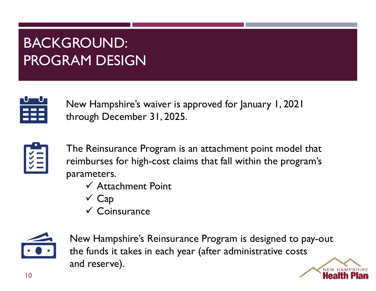### BACKGROUND: PROGRAM DESIGN



New Hampshire's waiver is approved for January 1, 2021 through December 31, 2025.



The Reinsurance Program is an attachment point model that reimburses for high-cost claims that fall within the program's parameters.

- $\checkmark$  Attachment Point
- $\checkmark$  Cap
- $\checkmark$  Coinsurance



New Hampshire's Reinsurance Program is designed to pay-out The Reinsurance Program is an attachment point model that<br>
reimburses for high-cost claims that fall within the program's<br>
varameters.<br>
v Attachment Point<br>
v Cap<br>
v Coinsurance<br>
New Hampshire's Reinsurance Program is desig and reserve).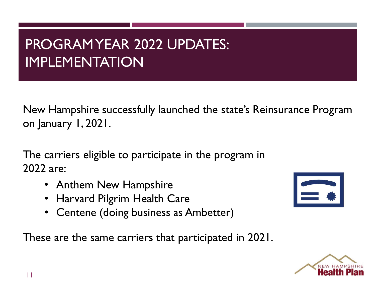### PROGRAM YEAR 2022 UPDATES: IMPLEMENTATION

New Hampshire successfully launched the state's Reinsurance Program on January 1, 2021. PROGRAMYEAR 2022 UPDATES:<br>
IMPLEMENTATION<br>
New Hampshire successfully launched the state's Reinsurance<br>
on January 1, 2021.<br>
The carriers eligible to participate in the program in<br>
2022 are:<br>
• Anthem New Hampshire

2022 are:

- Anthem New Hampshire
- Harvard Pilgrim Health Care
- Centene (doing business as Ambetter)

These are the same carriers that participated in 2021.



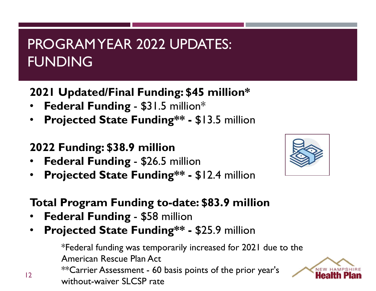### PROGRAM YEAR 2022 UPDATES: FUNDING PROGRAMYEAR 2022 UPDATES:<br>FUNDING<br>2021 Updated/Final Funding: \$45 million\*<br>• Federal Funding - \$31.5 million\*<br>• Projected State Funding\*\* - \$13.5 million PROGRAMYEAR 2022 UPDATES:<br>FUNDING<br>2021 Updated/Final Funding: \$45 million\*<br>• Federal Funding - \$31.5 million\*<br>• Projected State Funding\*\* - \$13.5 million<br>2022 Funding: \$38.9 million PROGRAMYEAR 2022 UPDATES:<br>FUNDING<br>2021 Updated/Final Funding: \$45 million\*<br>• Federal Funding - \$31.5 million\*<br>• Projected State Funding\*\* - \$13.5 million<br>• Federal Funding - \$26.5 million<br>• Projected State Funding\*\* - \$12. FUNDING<br>
2021 Updated/Final Funding: \$45 million\*<br>
• Federal Funding - \$31.5 million\*<br>
• Projected State Funding\*\* - \$13.5 million<br>
• Federal Funding - \$26.5 million<br>
• Projected State Funding\*\* - \$12.4 million<br>
Total Prog

2021 Updated/Final Funding: \$45 million\*

- 
- 

### 2022 Funding: \$38.9 million

- 
- 

# 2021 Updated/Final Funding: \$45 million\*<br>
• Federal Funding - \$31.5 million\*<br>
• Projected State Funding\*\* - \$13.5 million<br>
2022 Funding: \$38.9 million<br>
• Federal Funding - \$26.5 million<br>
• Projected State Funding to-date: • Federal Funding - \$31.5 million\*<br>• Projected State Funding\*\* - \$13.5 million<br>2022 Funding: \$38.9 million<br>• Federal Funding - \$26.5 million<br>• Projected State Funding\*\* - \$12.4 million<br>• Federal Funding - \$58 million<br>• Pro

- 
- 

 $\frac{12}{2}$ • Projected State Funding\*\* - \$13.5 million<br>
2022 Funding: \$38.9 million<br>
• Federal Funding - \$26.5 million<br>
• Projected State Funding\*\* - \$12.4 million<br>
• Federal Funding - \$58 million<br>
• Federal Funding - \$58 million<br>
• \*Federal funding was temporarily increased for 2021 due to the American Rescue Plan Act \*\*Carrier Assessment - 60 basis points of the prior year's without-waiver SLCSP rate



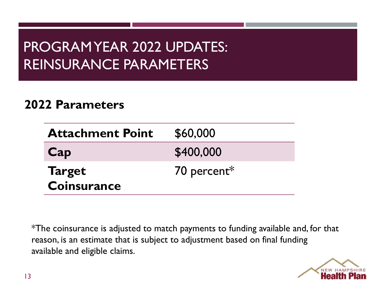### PROGRAM YEAR 2022 UPDATES: REINSURANCE PARAMETERS

### 2022 Parameters

| <b>Attachment Point</b>             | \$60,000    |
|-------------------------------------|-------------|
| Cap                                 | \$400,000   |
| <b>Target</b><br><b>Coinsurance</b> | 70 percent* |

\*The coinsurance is adjusted to match payments to funding available and, for that reason, is an estimate that is subject to adjustment based on final funding available and eligible claims.

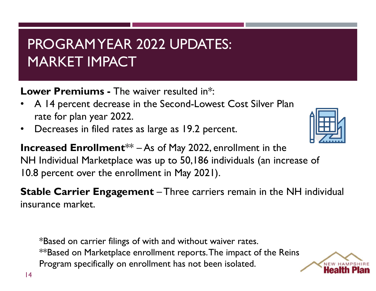### PROGRAM YEAR 2022 UPDATES: MARKET IMPACT **• PROGRAMYEAR 2022 UPDATES:**<br> **EXECUTE MARKET IMPACT**<br> **Lower Premiums - The waiver resulted in\*:**<br>
• A 14 percent decrease in the Second-Lowest Cost Silver Plan<br>
• Decreases in filed rates as large as 19.2 percent. **• PROGRAM YEAR 2022 UPDATES:**<br> **Example 19.4** MARKET IMPACT<br> **Example 19.4** percent decrease in the Second-Lowest Cost Silver Plan<br>
• A 14 percent decrease in the Second-Lowest Cost Silver Plan<br>
• Decreases in filed rates

Lower Premiums - The waiver resulted in\*:

- rate for plan year 2022.
- 



**PROGRAMYEAR 2022 UPDATES:**<br> **INCREMENT IMPACT**<br>
Lower Premiums - The waiver resulted in<sup>\*</sup>:<br>
• A 14 percent decrease in the Second-Lowest Cost Silver Plan<br>
rate for plan year 2022.<br>
• Decreases in filed rates as large as PROGRAMYEAR 2022 UPDATES:<br>
MARKET IMPACT<br>
Lower Premiums - The waiver resulted in<sup>\*</sup>:<br>
• A 14 percent decrease in the Second-Lowest Cost Silver Plan<br>
rate for plan year 2022.<br>
• Decreases in filed rates as large as 19.2 p 10.8 percent over the enrollment in May 2021). **Lower Premiums - The waiver resulted in\*:**<br>
• A 14 percent decrease in the Second-Lowest Cost Silver Plan<br>
rate for plan year 2022.<br>
• Decreases in filed rates as large as 19.2 percent.<br> **Increased Enrollment**<sup>\*\*</sup> – As of

insurance market.

\*Based on carrier filings of with and without waiver rates. \*\*Based on Marketplace enrollment reports. The impact of the Reins Program specifically on enrollment has not been isolated.

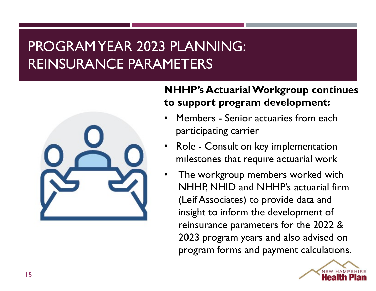# PROGRAM YEAR 2023 PLANNING:<br>REINSURANCE PARAMETERS REINSURANCE PARAMETERS



## NHHP's Actuarial Workgroup continues to support program development: • PLANNING:<br>• METERS<br>• NHHP's Actuarial Workgroup continues<br>• Members - Senior actuaries from each<br>• Participating carrier<br>• Role - Consult on key implementation • PLANNING:<br>• METERS<br>• NHHP's Actuarial Workgroup continues<br>• Members - Senior actuaries from each<br>• Mole - Consult on key implementation<br>• Role - Consult on key implementation<br>• The workgroup members worked with

- participating carrier
- milestones that require actuarial work
- The workgroup members worked with NHHP, NHID and NHHP's actuarial firm (Leif Associates) to provide data and insight to inform the development of reinsurance parameters for the 2022 & 2023 program years and also advised on program forms and payment calculations.

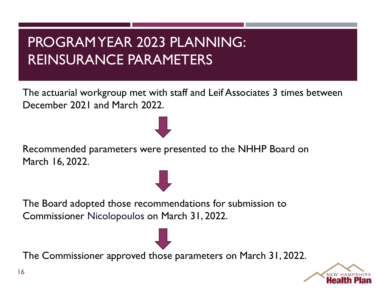# PROGRAM YEAR 2023 PLANNING:<br>REINSURANCE PARAMETERS REINSURANCE PARAMETERS

PROGRAMYEAR 2023 PLANNING:<br>
REINSURANCE PARAMETERS<br>
The actuarial workgroup met with staff and Leif Associates 3 times between<br>
December 2021 and March 2022. December 2021 and March 2022. PROGRAMYEAR 2023 PLANNING:<br>
REINSURANCE PARAMETERS<br>
The actuarial workgroup met with staff and Leif Associates 3 times between<br>
December 2021 and March 2022.<br>
Recommended parameters were presented to the NHHP Board on<br>
Mar

March 16, 2022.

The Board adopted those recommendations for submission to Commissioner Nicolopoulos on March 31, 2022.

The Commissioner approved those parameters on March 31, 2022.

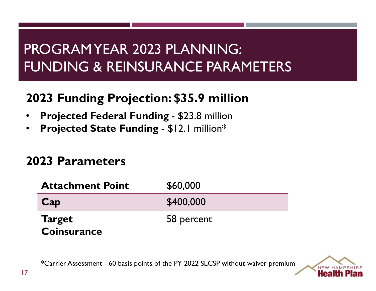## PROGRAM YEAR 2023 PLANNING:<br>FUNDING & REINSURANCE PARAMETERS FUNDING & REINSURANCE PARAMETERS PROGRAMYEAR 2023 PLANNING:<br>FUNDING & REINSURANCE PARAMETERS<br>2023 Funding Projection: \$35.9 million<br>• Projected Federal Funding - \$23.8 million<br>• Projected State Funding - \$12.1 million\* PROGRAMYEAR 2023 PLANNING:<br>FUNDING & REINSURANCE PARAMETERS<br>2023 Funding Projection: \$35.9 million<br>• Projected Federal Funding - \$23.8 million<br>• Projected State Funding - \$12.1 million\* PROGRAMYEAR 2023 PLANNING:<br>FUNDING & REINSURANCE PARAMETERS<br>2023 Funding Projection: \$35.9 million<br>• Projected Federal Funding - \$23.8 million<br>• Projected State Funding - \$12.1 million\*<br>2023 Parameters

- 
- 

### 2023 Parameters

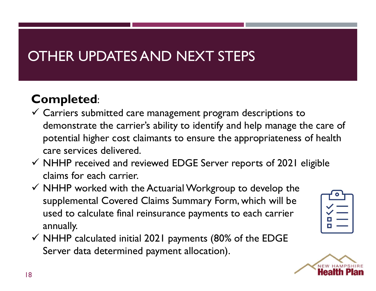### OTHER UPDATES AND NEXT STEPS

### Completed:

- OTHER UPDATES AND NEXT STEPS<br>
Completed:<br>
V Carriers submitted care management program descriptions to<br>
demonstrate the carrier's ability to identify and help manage the care of<br>
potential higher cost claimants to ensure t THER UPDATES AND NEXT STEPS<br>
ompleted:<br>
Carriers submitted care management program descriptions to<br>
demonstrate the carrier's ability to identify and help manage the care of<br>
potential higher cost claimants to ensure the a potential higher cost claimants to ensure the appropriateness of health care services delivered. **ompleted:**<br>Carriers submitted care management program descriptions to<br>demonstrate the carrier's ability to identify and help manage the care of<br>potential higher cost claimants to ensure the appropriateness of health<br>care
- $\checkmark$  NHHP received and reviewed EDGE Server reports of 2021 eligible claims for each carrier.
- $\checkmark$  NHHP worked with the Actuarial Workgroup to develop the used to calculate final reinsurance payments to each carrier annually.
- $\checkmark$  NHHP calculated initial 2021 payments (80% of the EDGE Server data determined payment allocation).



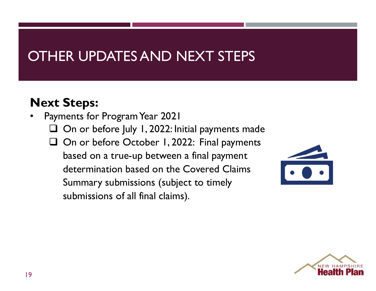### OTHER UPDATES AND NEXT STEPS

### Next Steps:

• Payments for Program Year 2021  $\Box$  On or before July 1, 2022: Initial payments made On or before October 1, 2022: Final payments based on a true-up between a final payment determination based on the Covered Claims Summary submissions (subject to timely **Steps:**<br>
nents for Program Year 2021<br>
On or before July 1, 2022: Initial payments made<br>
On or before October 1, 2022: Final payments<br>
based on a true-up between a final payment<br>
determination based on the Covered Claims<br>



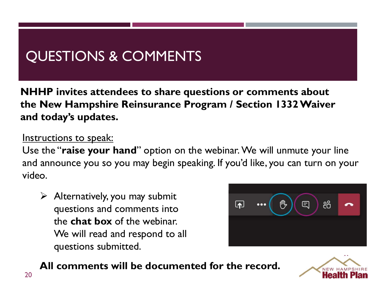### QUESTIONS & COMMENTS

NHHP invites attendees to share questions or comments about QUESTIONS & COMMENTS<br>
NHHP invites attendees to share questions or comments about<br>
the New Hampshire Reinsurance Program / Section 1332 Waiver<br>
and today's updates.<br>
Intructions to spok: and today's updates.

#### Instructions to speak:

Use the "raise your hand" option on the webinar. We will unmute your line QUESTIONS & COMMENTS<br>
NHHP invites attendees to share questions or comments about<br>
the New Hampshire Reinsurance Program / Section 1332 Waiver<br>
and today's updates.<br>
Instructions to speak:<br>
Use the "raise your hand" option video. the "raise your hand" option on the webinar. We will unmute your line<br>announce you so you may begin speaking. If you'd like, you can turn on your<br>o.<br><br>
All comments and comments into<br>
the chat box of the webinar.<br>
We will r

 $\triangleright$  Alternatively, you may submit questions and comments into the chat box of the webinar. We will read and respond to all questions submitted.